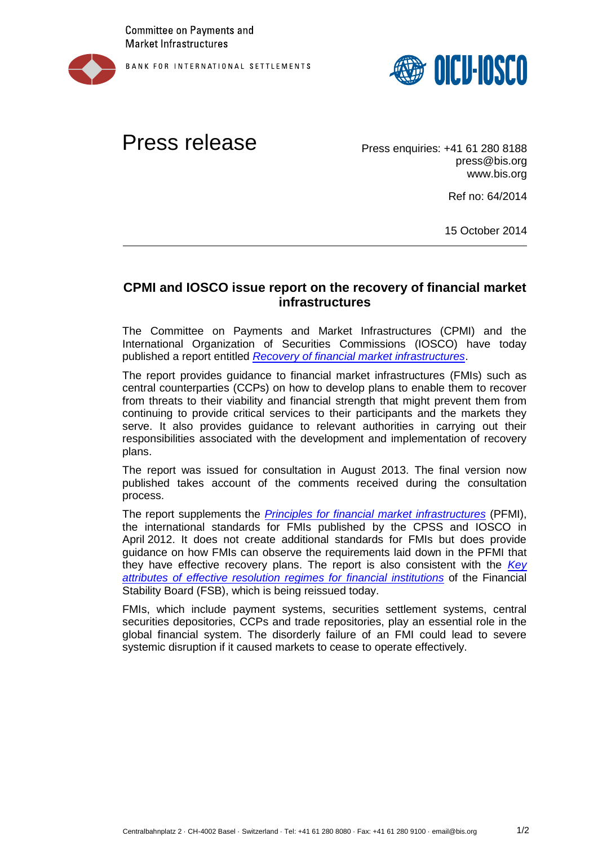

BANK FOR INTERNATIONAL SETTLEMENTS



## Press release Press enquiries: +41 61 280 8188

press@bis.org www.bis.org

Ref no: 64/2014

15 October 2014

## **CPMI and IOSCO issue report on the recovery of financial market infrastructures**

The Committee on Payments and Market Infrastructures (CPMI) and the International Organization of Securities Commissions (IOSCO) have today published a report entitled *[Recovery of financial market infrastructures](http://www.iosco.org/library/pubdocs/pdf/IOSCOPD455.pdf)*.

The report provides guidance to financial market infrastructures (FMIs) such as central counterparties (CCPs) on how to develop plans to enable them to recover from threats to their viability and financial strength that might prevent them from continuing to provide critical services to their participants and the markets they serve. It also provides guidance to relevant authorities in carrying out their responsibilities associated with the development and implementation of recovery plans.

The report was issued for consultation in August 2013. The final version now published takes account of the comments received during the consultation process.

The report supplements the *[Principles for financial market infrastructures](https://www.bis.org/cpmi/publ/d101.htm)* (PFMI), the international standards for FMIs published by the CPSS and IOSCO in April 2012. It does not create additional standards for FMIs but does provide guidance on how FMIs can observe the requirements laid down in the PFMI that they have effective recovery plans. The report is also consistent with the *[Key](http://www.financialstabilityboard.org/publications/r_141015.htm)  [attributes of effective resolution regimes for financial institutions](http://www.financialstabilityboard.org/publications/r_141015.htm)* of the Financial Stability Board (FSB), which is being reissued today.

FMIs, which include payment systems, securities settlement systems, central securities depositories, CCPs and trade repositories, play an essential role in the global financial system. The disorderly failure of an FMI could lead to severe systemic disruption if it caused markets to cease to operate effectively.